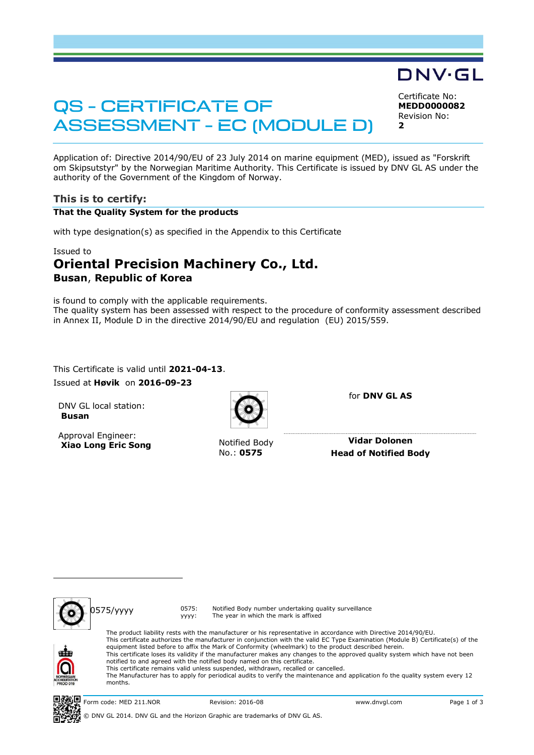# QS - CERTIFICATE OF ASSESSMENT - EC (MODULE D)

Certificate No: **MEDD0000082** Revision No: **2**

DNV·GL

Application of: Directive 2014/90/EU of 23 July 2014 on marine equipment (MED), issued as "Forskrift om Skipsutstyr" by the Norwegian Maritime Authority. This Certificate is issued by DNV GL AS under the authority of the Government of the Kingdom of Norway.

## **This is to certify:**

#### **That the Quality System for the products**

with type designation(s) as specified in the Appendix to this Certificate

#### Issued to

# **Oriental Precision Machinery Co., Ltd. Busan**, **Republic of Korea**

is found to comply with the applicable requirements. The quality system has been assessed with respect to the procedure of conformity assessment described in Annex II, Module D in the directive 2014/90/EU and regulation (EU) 2015/559.

This Certificate is valid until **2021-04-13**. Issued at **Høvik** on **2016-09-23**

DNV GL local station: **Busan**

Approval Engineer: **Xiao Long Eric Song** Notified Body



No.: **0575**

for **DNV GL AS**

**Vidar Dolonen Head of Notified Body**



0575/yyyy 0575: yyyy:

The product liability rests with the manufacturer or his representative in accordance with Directive 2014/90/EU. This certificate authorizes the manufacturer in conjunction with the valid EC Type Examination (Module B) Certificate(s) of the equipment listed before to affix the Mark of Conformity (wheelmark) to the product described herein. This certificate loses its validity if the manufacturer makes any changes to the approved quality system which have not been notified to and agreed with the notified body named on this certificate. This certificate remains valid unless suspended, withdrawn, recalled or cancelled. The Manufacturer has to apply for periodical audits to verify the maintenance and application fo the quality system every 12 months.

Notified Body number undertaking quality surveillance

The year in which the mark is affixed

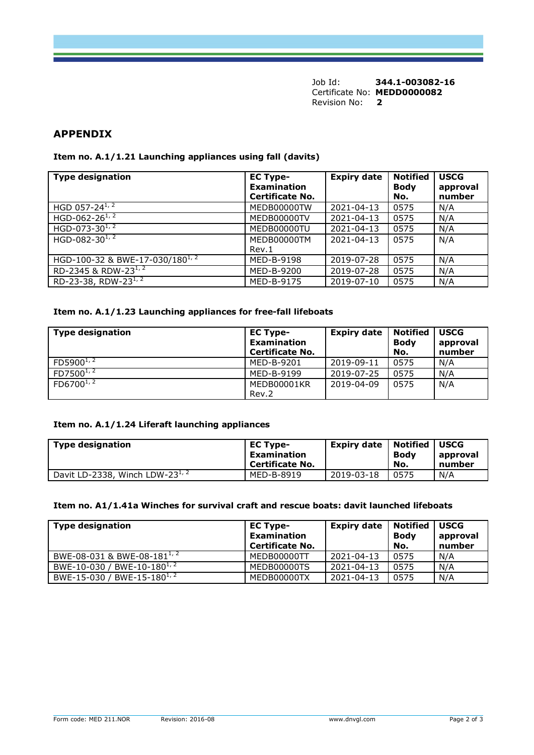Job Id: **344.1-003082-16** Certificate No: **MEDD0000082** Revision No: **2**

### **APPENDIX**

#### **Item no. A.1/1.21 Launching appliances using fall (davits)**

| <b>Type designation</b>                     | <b>EC Type-</b><br><b>Examination</b><br><b>Certificate No.</b> | <b>Expiry date</b> | <b>Notified</b><br><b>Body</b><br>No. | <b>USCG</b><br>approval<br>number |
|---------------------------------------------|-----------------------------------------------------------------|--------------------|---------------------------------------|-----------------------------------|
| HGD 057-24 $^{1/2}$                         | MEDB00000TW                                                     | 2021-04-13         | 0575                                  | N/A                               |
| HGD-062-26 $^{1, 2}$                        | MEDB00000TV                                                     | 2021-04-13         | 0575                                  | N/A                               |
| HGD-073-30 $1/2$                            | MEDB00000TU                                                     | 2021-04-13         | 0575                                  | N/A                               |
| HGD-082-30 $^{1,2}$                         | MEDB00000TM                                                     | 2021-04-13         | 0575                                  | N/A                               |
|                                             | Rev.1                                                           |                    |                                       |                                   |
| HGD-100-32 & BWE-17-030/180 <sup>1, 2</sup> | MED-B-9198                                                      | 2019-07-28         | 0575                                  | N/A                               |
| RD-2345 & RDW-23 $^{1/2}$                   | MED-B-9200                                                      | 2019-07-28         | 0575                                  | N/A                               |
| RD-23-38, RDW-23 $^{1/2}$                   | MED-B-9175                                                      | 2019-07-10         | 0575                                  | N/A                               |

#### **Item no. A.1/1.23 Launching appliances for free-fall lifeboats**

| <b>Type designation</b> | <b>EC Type-</b><br><b>Examination</b><br>Certificate No. | <b>Expiry date</b> | <b>Notified</b><br><b>Body</b><br>No. | <b>USCG</b><br>approval<br>number |
|-------------------------|----------------------------------------------------------|--------------------|---------------------------------------|-----------------------------------|
| $FD5900^{1/2}$          | MED-B-9201                                               | 2019-09-11         | 0575                                  | N/A                               |
| $FD7500^{1/2}$          | MED-B-9199                                               | 2019-07-25         | 0575                                  | N/A                               |
| $FD6700^{1,2}$          | MEDB00001KR<br>Rev.2                                     | 2019-04-09         | 0575                                  | N/A                               |

#### **Item no. A.1/1.24 Liferaft launching appliances**

| <b>Type designation</b>              | <b>EC Type-</b><br>Examination<br><b>Certificate No.</b> | <b>Expiry date</b> | <b>Notified   USCG</b><br>Bodv<br>No. | approval<br>number |
|--------------------------------------|----------------------------------------------------------|--------------------|---------------------------------------|--------------------|
| Davit LD-2338, Winch LDW-23 $^{1/2}$ | MED-B-8919                                               | 2019-03-18         | 0575                                  | N/A                |

#### **Item no. A1/1.41a Winches for survival craft and rescue boats: davit launched lifeboats**

| <b>Type designation</b>                 | <b>EC Type-</b><br><b>Examination</b><br><b>Certificate No.</b> | Expiry date | Notified<br><b>Body</b><br>No. | <b>USCG</b><br>approval<br>number |
|-----------------------------------------|-----------------------------------------------------------------|-------------|--------------------------------|-----------------------------------|
| BWE-08-031 & BWE-08-181 <sup>1, 2</sup> | MEDB00000TT                                                     | 2021-04-13  | 0575                           | N/A                               |
| BWE-10-030 / BWE-10-180 <sup>1, 2</sup> | MEDB00000TS                                                     | 2021-04-13  | 0575                           | N/A                               |
| BWE-15-030 / BWE-15-180 <sup>1, 2</sup> | MEDB00000TX                                                     | 2021-04-13  | 0575                           | N/A                               |